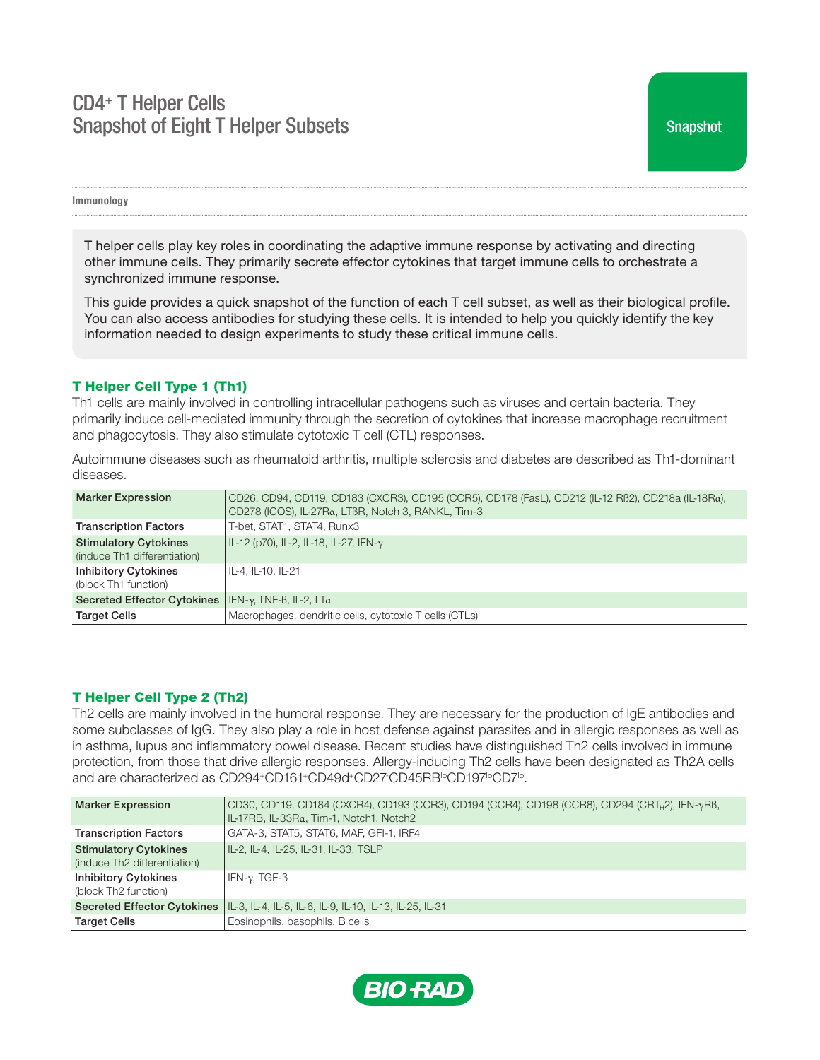# CD4+ T Helper Cells Snapshot of Eight T Helper Subsets

Immunology

T helper cells play key roles in coordinating the adaptive immune response by activating and directing other immune cells. They primarily secrete effector cytokines that target immune cells to orchestrate a synchronized immune response.

This guide provides a quick snapshot of the function of each T cell subset, as well as their biological profile. You can also access antibodies for studying these cells. It is intended to help you quickly identify the key information needed to design experiments to study these critical immune cells.

# T Helper Cell Type 1 (Th1)

Th1 cells are mainly involved in controlling intracellular pathogens such as viruses and certain bacteria. They primarily induce cell-mediated immunity through the secretion of cytokines that increase macrophage recruitment and phagocytosis. They also stimulate cytotoxic T cell (CTL) responses.

Autoimmune diseases such as rheumatoid arthritis, multiple sclerosis and diabetes are described as Th1-dominant diseases.

| <b>Marker Expression</b>                                     | CD26, CD94, CD119, CD183 (CXCR3), CD195 (CCR5), CD178 (FasL), CD212 (IL-12 RB2), CD218a (IL-18Ra),<br>CD278 (ICOS), IL-27Ra, LTBR, Notch 3, RANKL, Tim-3 |
|--------------------------------------------------------------|----------------------------------------------------------------------------------------------------------------------------------------------------------|
| <b>Transcription Factors</b>                                 | T-bet, STAT1, STAT4, Runx3                                                                                                                               |
| <b>Stimulatory Cytokines</b><br>(induce Th1 differentiation) | IL-12 (p70), IL-2, IL-18, IL-27, IFN-y                                                                                                                   |
| <b>Inhibitory Cytokines</b><br>(block Th1 function)          | IL-4, IL-10, IL-21                                                                                                                                       |
| <b>Secreted Effector Cytokines</b>                           | IFN-γ, TNF-β, IL-2, LTα                                                                                                                                  |
| <b>Target Cells</b>                                          | Macrophages, dendritic cells, cytotoxic T cells (CTLs)                                                                                                   |

# T Helper Cell Type 2 (Th2)

Th2 cells are mainly involved in the humoral response. They are necessary for the production of IgE antibodies and some subclasses of IgG. They also play a role in host defense against parasites and in allergic responses as well as in asthma, lupus and inflammatory bowel disease. Recent studies have distinguished Th2 cells involved in immune protection, from those that drive allergic responses. Allergy-inducing Th2 cells have been designated as Th2A cells and are characterized as CD294+CD161+CD49d+CD27·CD45RB<sup>1</sup>°CD197<sup>1</sup>°CD7<sup>1</sup>°.

| <b>Marker Expression</b>                                     | CD30, CD119, CD184 (CXCR4), CD193 (CCR3), CD194 (CCR4), CD198 (CCR8), CD294 (CRT <sub>H</sub> 2), IFN-yRB,<br>IL-17RB, IL-33Rα, Tim-1, Notch1, Notch2 |
|--------------------------------------------------------------|-------------------------------------------------------------------------------------------------------------------------------------------------------|
| <b>Transcription Factors</b>                                 | GATA-3, STAT5, STAT6, MAF, GFI-1, IRF4                                                                                                                |
| <b>Stimulatory Cytokines</b><br>(induce Th2 differentiation) | IL-2, IL-4, IL-25, IL-31, IL-33, TSLP                                                                                                                 |
| <b>Inhibitory Cytokines</b><br>(block Th2 function)          | IFN-γ. TGF-β                                                                                                                                          |
|                                                              | Secreted Effector Cytokines   IL-3, IL-4, IL-5, IL-6, IL-9, IL-10, IL-13, IL-25, IL-31                                                                |
| <b>Target Cells</b>                                          | Eosinophils, basophils, B cells                                                                                                                       |

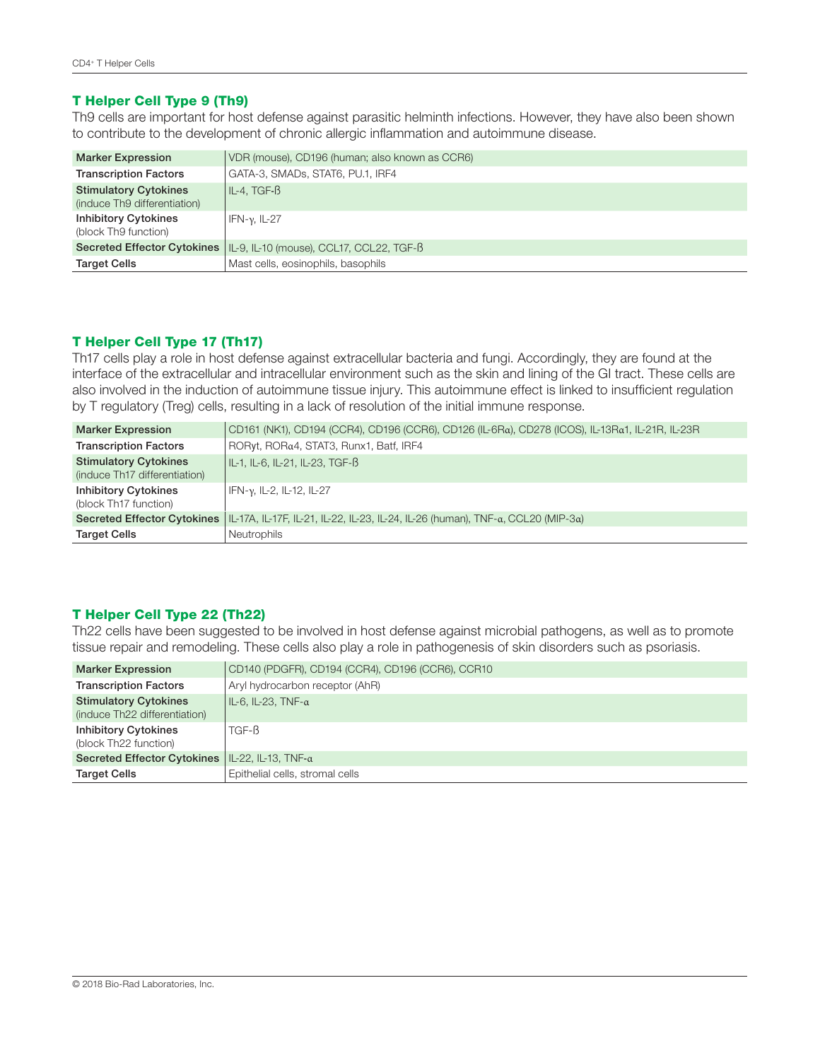# T Helper Cell Type 9 (Th9)

Th9 cells are important for host defense against parasitic helminth infections. However, they have also been shown to contribute to the development of chronic allergic inflammation and autoimmune disease.

| <b>Marker Expression</b>                                     | VDR (mouse), CD196 (human; also known as CCR6)                         |
|--------------------------------------------------------------|------------------------------------------------------------------------|
| <b>Transcription Factors</b>                                 | GATA-3, SMADs, STAT6, PU.1, IRF4                                       |
| <b>Stimulatory Cytokines</b><br>(induce Th9 differentiation) | IL-4. TGF- $\beta$                                                     |
| <b>Inhibitory Cytokines</b><br>(block Th9 function)          | IFN- $\nu$ , IL-27                                                     |
|                                                              | Secreted Effector Cytokines   IL-9, IL-10 (mouse), CCL17, CCL22, TGF-B |
| <b>Target Cells</b>                                          | Mast cells, eosinophils, basophils                                     |

# T Helper Cell Type 17 (Th17)

Th17 cells play a role in host defense against extracellular bacteria and fungi. Accordingly, they are found at the interface of the extracellular and intracellular environment such as the skin and lining of the GI tract. These cells are also involved in the induction of autoimmune tissue injury. This autoimmune effect is linked to insufficient regulation by T regulatory (Treg) cells, resulting in a lack of resolution of the initial immune response.

| <b>Marker Expression</b>                                      | CD161 (NK1), CD194 (CCR4), CD196 (CCR6), CD126 (IL-6Rα), CD278 (ICOS), IL-13Rα1, IL-21R, IL-23R                |
|---------------------------------------------------------------|----------------------------------------------------------------------------------------------------------------|
| <b>Transcription Factors</b>                                  | RORyt, RORa4, STAT3, Runx1, Batf, IRF4                                                                         |
| <b>Stimulatory Cytokines</b><br>(induce Th17 differentiation) | IL-1. IL-6. IL-21. IL-23. TGF-ß                                                                                |
| <b>Inhibitory Cytokines</b><br>(block Th17 function)          | IFN-γ, IL-2, IL-12, IL-27                                                                                      |
|                                                               | Secreted Effector Cytokines   IL-17A, IL-17F, IL-21, IL-22, IL-23, IL-24, IL-26 (human), TNF-a, CCL20 (MIP-3a) |
| <b>Target Cells</b>                                           | <b>Neutrophils</b>                                                                                             |

# T Helper Cell Type 22 (Th22)

Th22 cells have been suggested to be involved in host defense against microbial pathogens, as well as to promote tissue repair and remodeling. These cells also play a role in pathogenesis of skin disorders such as psoriasis.

| <b>Marker Expression</b>                                      | CD140 (PDGFR), CD194 (CCR4), CD196 (CCR6), CCR10 |
|---------------------------------------------------------------|--------------------------------------------------|
| <b>Transcription Factors</b>                                  | Aryl hydrocarbon receptor (AhR)                  |
| <b>Stimulatory Cytokines</b><br>(induce Th22 differentiation) | I IL-6. IL-23. TNF-α                             |
| <b>Inhibitory Cytokines</b><br>(block Th22 function)          | TGF-B                                            |
| <b>Secreted Effector Cytokines</b>                            | $ I-L-22, IL-13, TNF-a$                          |
| <b>Target Cells</b>                                           | Epithelial cells, stromal cells                  |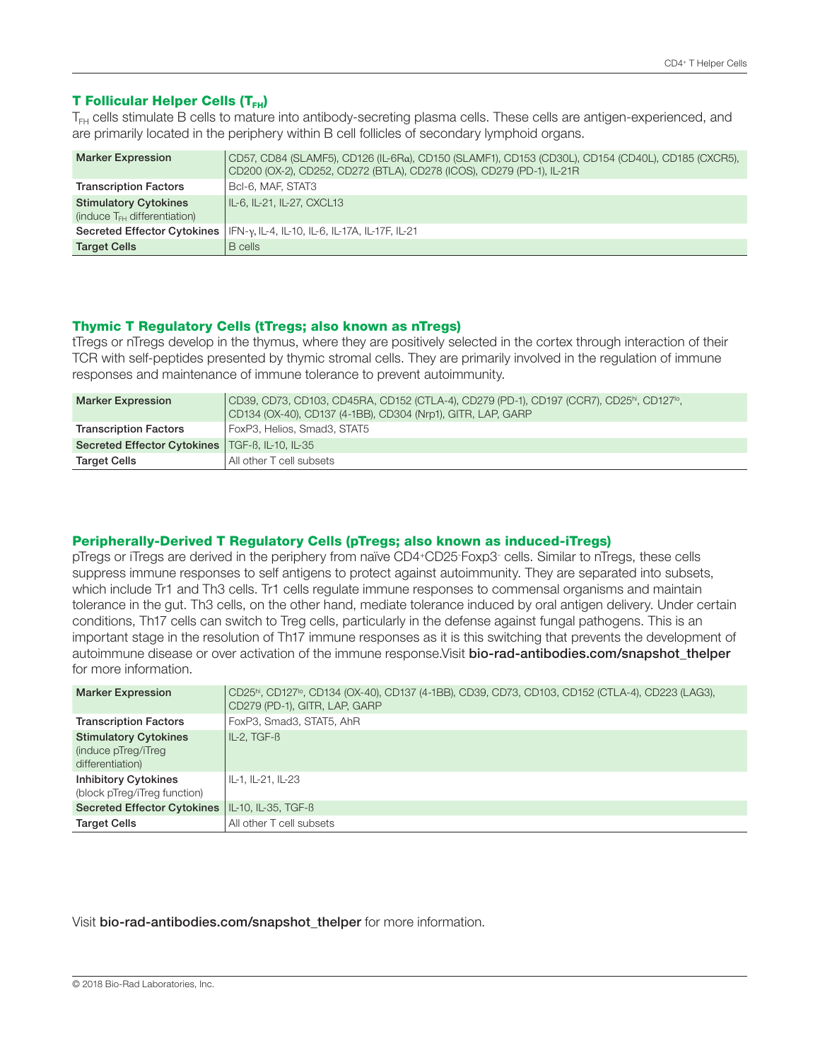# **T Follicular Helper Cells (T<sub>FH</sub>)**

T<sub>FH</sub> cells stimulate B cells to mature into antibody-secreting plasma cells. These cells are antigen-experienced, and are primarily located in the periphery within B cell follicles of secondary lymphoid organs.

| <b>Marker Expression</b>                                          | CD57, CD84 (SLAMF5), CD126 (IL-6Rα), CD150 (SLAMF1), CD153 (CD30L), CD154 (CD40L), CD185 (CXCR5),<br>CD200 (OX-2), CD252, CD272 (BTLA), CD278 (ICOS), CD279 (PD-1), IL-21R |
|-------------------------------------------------------------------|----------------------------------------------------------------------------------------------------------------------------------------------------------------------------|
| <b>Transcription Factors</b>                                      | Bcl-6, MAF, STAT3                                                                                                                                                          |
| <b>Stimulatory Cytokines</b><br>(induce $T_{FH}$ differentiation) | IL-6, IL-21, IL-27, CXCL13                                                                                                                                                 |
|                                                                   | Secreted Effector Cytokines   IFN-y, IL-4, IL-10, IL-6, IL-17A, IL-17F, IL-21                                                                                              |
| <b>Target Cells</b>                                               | B cells                                                                                                                                                                    |

## Thymic T Regulatory Cells (tTregs; also known as nTregs)

tTregs or nTregs develop in the thymus, where they are positively selected in the cortex through interaction of their TCR with self-peptides presented by thymic stromal cells. They are primarily involved in the regulation of immune responses and maintenance of immune tolerance to prevent autoimmunity.

| <b>Marker Expression</b>                          | CD39, CD73, CD103, CD45RA, CD152 (CTLA-4), CD279 (PD-1), CD197 (CCR7), CD25ʰi, CD127ʰ,<br>  CD134 (OX-40), CD137 (4-1BB), CD304 (Nrp1), GITR, LAP, GARP |
|---------------------------------------------------|---------------------------------------------------------------------------------------------------------------------------------------------------------|
| <b>Transcription Factors</b>                      | FoxP3, Helios, Smad3, STAT5                                                                                                                             |
| Secreted Effector Cytokines   TGF-B, IL-10, IL-35 |                                                                                                                                                         |
| <b>Target Cells</b>                               | All other T cell subsets                                                                                                                                |

## Peripherally-Derived T Regulatory Cells (pTregs; also known as induced-iTregs)

pTregs or iTregs are derived in the periphery from naïve CD4+CD25- Foxp3- cells. Similar to nTregs, these cells suppress immune responses to self antigens to protect against autoimmunity. They are separated into subsets, which include Tr1 and Th3 cells. Tr1 cells regulate immune responses to commensal organisms and maintain tolerance in the gut. Th3 cells, on the other hand, mediate tolerance induced by oral antigen delivery. Under certain conditions, Th17 cells can switch to Treg cells, particularly in the defense against fungal pathogens. This is an important stage in the resolution of Th17 immune responses as it is this switching that prevents the development of autoimmune disease or over activation of the immune response. Visit bio-rad-antibodies.com/snapshot\_thelper for more information.

| <b>Marker Expression</b>                                                | CD25 <sup>hi</sup> , CD127 <sup>to</sup> , CD134 (OX-40), CD137 (4-1BB), CD39, CD73, CD103, CD152 (CTLA-4), CD223 (LAG3),<br>CD279 (PD-1), GITR, LAP, GARP |
|-------------------------------------------------------------------------|------------------------------------------------------------------------------------------------------------------------------------------------------------|
| <b>Transcription Factors</b>                                            | FoxP3, Smad3, STAT5, AhR                                                                                                                                   |
| <b>Stimulatory Cytokines</b><br>(induce pTreg/iTreg<br>differentiation) | $IL-2, TGF-B$                                                                                                                                              |
| <b>Inhibitory Cytokines</b><br>(block pTreg/iTreg function)             | IL-1. IL-21. IL-23                                                                                                                                         |
| <b>Secreted Effector Cytokines</b>                                      | IL-10, IL-35, TGF-B                                                                                                                                        |
| <b>Target Cells</b>                                                     | All other T cell subsets                                                                                                                                   |

## Visit bio-rad-antibodies.com/snapshot\_thelper for more information.